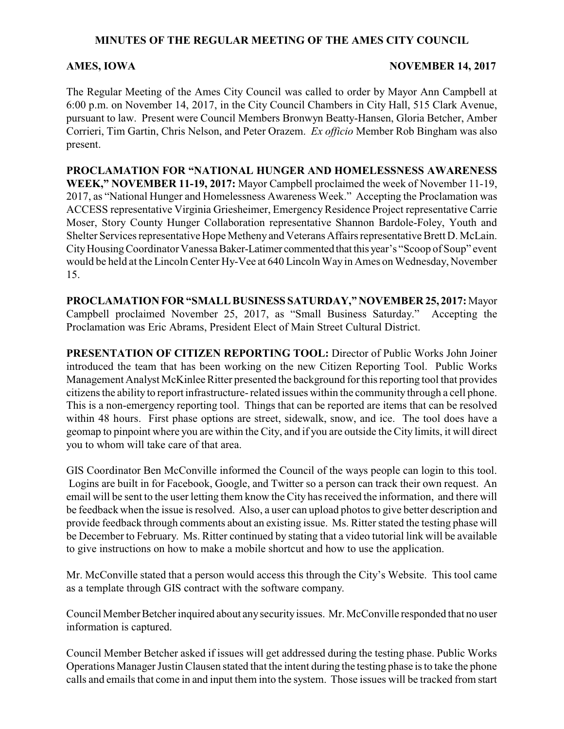## **MINUTES OF THE REGULAR MEETING OF THE AMES CITY COUNCIL**

#### **AMES, IOWA NOVEMBER 14, 2017**

The Regular Meeting of the Ames City Council was called to order by Mayor Ann Campbell at 6:00 p.m. on November 14, 2017, in the City Council Chambers in City Hall, 515 Clark Avenue, pursuant to law. Present were Council Members Bronwyn Beatty-Hansen, Gloria Betcher, Amber Corrieri, Tim Gartin, Chris Nelson, and Peter Orazem. *Ex officio* Member Rob Bingham was also present.

**PROCLAMATION FOR "NATIONAL HUNGER AND HOMELESSNESS AWARENESS WEEK," NOVEMBER 11-19, 2017:** Mayor Campbell proclaimed the week of November 11-19, 2017, as "National Hunger and Homelessness Awareness Week." Accepting the Proclamation was ACCESS representative Virginia Griesheimer, EmergencyResidence Project representative Carrie Moser, Story County Hunger Collaboration representative Shannon Bardole-Foley, Youth and Shelter Services representative Hope Metheny and Veterans Affairs representative Brett D. McLain. CityHousingCoordinator Vanessa Baker-Latimer commented that this year's "Scoop of Soup" event would be held at the Lincoln Center Hy-Vee at 640 Lincoln Way in Ames on Wednesday, November 15.

**PROCLAMATION FOR "SMALL BUSINESS SATURDAY," NOVEMBER 25, 2017:** Mayor Campbell proclaimed November 25, 2017, as "Small Business Saturday." Accepting the Proclamation was Eric Abrams, President Elect of Main Street Cultural District.

**PRESENTATION OF CITIZEN REPORTING TOOL:** Director of Public Works John Joiner introduced the team that has been working on the new Citizen Reporting Tool. Public Works Management Analyst McKinlee Ritter presented the background for this reporting tool that provides citizens the ability to report infrastructure- related issues within the community through a cell phone. This is a non-emergency reporting tool. Things that can be reported are items that can be resolved within 48 hours. First phase options are street, sidewalk, snow, and ice. The tool does have a geomap to pinpoint where you are within the City, and if you are outside the City limits, it will direct you to whom will take care of that area.

GIS Coordinator Ben McConville informed the Council of the ways people can login to this tool. Logins are built in for Facebook, Google, and Twitter so a person can track their own request. An email will be sent to the user letting them know the City has received the information, and there will be feedback when the issue is resolved. Also, a user can upload photos to give better description and provide feedback through comments about an existing issue. Ms. Ritter stated the testing phase will be December to February. Ms. Ritter continued by stating that a video tutorial link will be available to give instructions on how to make a mobile shortcut and how to use the application.

Mr. McConville stated that a person would access this through the City's Website. This tool came as a template through GIS contract with the software company.

Council Member Betcher inquired about anysecurityissues. Mr. McConville responded that no user information is captured.

Council Member Betcher asked if issues will get addressed during the testing phase. Public Works Operations Manager Justin Clausen stated that the intent during the testing phase is to take the phone calls and emails that come in and input them into the system. Those issues will be tracked from start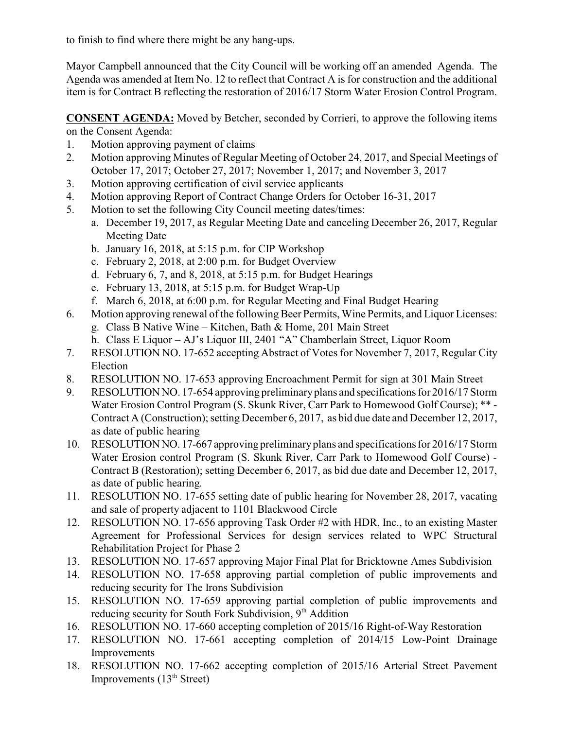to finish to find where there might be any hang-ups.

Mayor Campbell announced that the City Council will be working off an amended Agenda. The Agenda was amended at Item No. 12 to reflect that Contract A is for construction and the additional item is for Contract B reflecting the restoration of 2016/17 Storm Water Erosion Control Program.

**CONSENT AGENDA:** Moved by Betcher, seconded by Corrieri, to approve the following items on the Consent Agenda:

- 1. Motion approving payment of claims
- 2. Motion approving Minutes of Regular Meeting of October 24, 2017, and Special Meetings of October 17, 2017; October 27, 2017; November 1, 2017; and November 3, 2017
- 3. Motion approving certification of civil service applicants
- 4. Motion approving Report of Contract Change Orders for October 16-31, 2017
- 5. Motion to set the following City Council meeting dates/times:
	- a. December 19, 2017, as Regular Meeting Date and canceling December 26, 2017, Regular Meeting Date
	- b. January 16, 2018, at 5:15 p.m. for CIP Workshop
	- c. February 2, 2018, at 2:00 p.m. for Budget Overview
	- d. February 6, 7, and 8, 2018, at 5:15 p.m. for Budget Hearings
	- e. February 13, 2018, at 5:15 p.m. for Budget Wrap-Up
	- f. March 6, 2018, at 6:00 p.m. for Regular Meeting and Final Budget Hearing
- 6. Motion approving renewal of the following Beer Permits, Wine Permits, and Liquor Licenses:
	- g. Class B Native Wine Kitchen, Bath & Home, 201 Main Street
	- h. Class E Liquor AJ's Liquor III, 2401 "A" Chamberlain Street, Liquor Room
- 7. RESOLUTION NO. 17-652 accepting Abstract of Votes for November 7, 2017, Regular City Election
- 8. RESOLUTION NO. 17-653 approving Encroachment Permit for sign at 301 Main Street
- 9. RESOLUTION NO. 17-654 approving preliminaryplans and specifications for 2016/17 Storm Water Erosion Control Program (S. Skunk River, Carr Park to Homewood Golf Course); \*\* - Contract A (Construction); setting December 6, 2017, as bid due date and December 12, 2017, as date of public hearing
- 10. RESOLUTION NO. 17-667 approving preliminaryplans and specifications for 2016/17 Storm Water Erosion control Program (S. Skunk River, Carr Park to Homewood Golf Course) - Contract B (Restoration); setting December 6, 2017, as bid due date and December 12, 2017, as date of public hearing.
- 11. RESOLUTION NO. 17-655 setting date of public hearing for November 28, 2017, vacating and sale of property adjacent to 1101 Blackwood Circle
- 12. RESOLUTION NO. 17-656 approving Task Order #2 with HDR, Inc., to an existing Master Agreement for Professional Services for design services related to WPC Structural Rehabilitation Project for Phase 2
- 13. RESOLUTION NO. 17-657 approving Major Final Plat for Bricktowne Ames Subdivision
- 14. RESOLUTION NO. 17-658 approving partial completion of public improvements and reducing security for The Irons Subdivision
- 15. RESOLUTION NO. 17-659 approving partial completion of public improvements and reducing security for South Fork Subdivision, 9<sup>th</sup> Addition
- 16. RESOLUTION NO. 17-660 accepting completion of 2015/16 Right-of-Way Restoration
- 17. RESOLUTION NO. 17-661 accepting completion of 2014/15 Low-Point Drainage Improvements
- 18. RESOLUTION NO. 17-662 accepting completion of 2015/16 Arterial Street Pavement Improvements  $(13<sup>th</sup> Street)$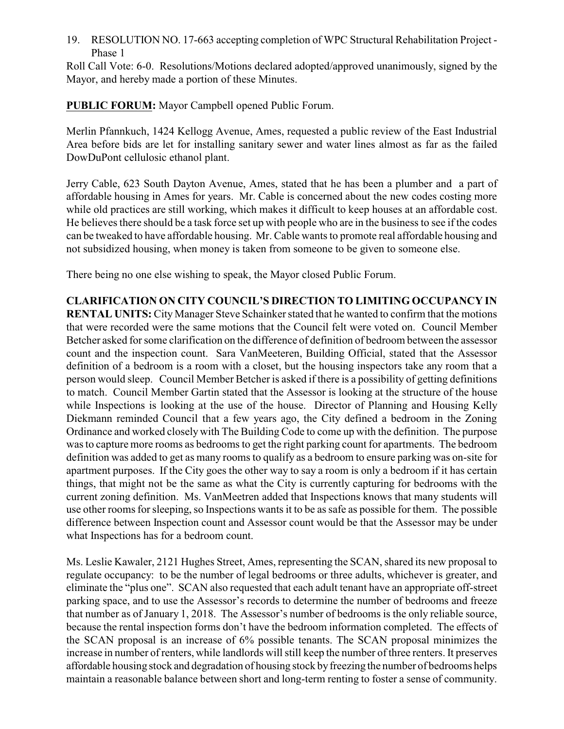19. RESOLUTION NO. 17-663 accepting completion of WPC Structural Rehabilitation Project - Phase 1

Roll Call Vote: 6-0. Resolutions/Motions declared adopted/approved unanimously, signed by the Mayor, and hereby made a portion of these Minutes.

**PUBLIC FORUM:** Mayor Campbell opened Public Forum.

Merlin Pfannkuch, 1424 Kellogg Avenue, Ames, requested a public review of the East Industrial Area before bids are let for installing sanitary sewer and water lines almost as far as the failed DowDuPont cellulosic ethanol plant.

Jerry Cable, 623 South Dayton Avenue, Ames, stated that he has been a plumber and a part of affordable housing in Ames for years. Mr. Cable is concerned about the new codes costing more while old practices are still working, which makes it difficult to keep houses at an affordable cost. He believes there should be a task force set up with people who are in the business to see if the codes can be tweaked to have affordable housing. Mr. Cable wants to promote real affordable housing and not subsidized housing, when money is taken from someone to be given to someone else.

There being no one else wishing to speak, the Mayor closed Public Forum.

**CLARIFICATION ON CITY COUNCIL'S DIRECTION TO LIMITING OCCUPANCY IN RENTAL UNITS:** City Manager Steve Schainker stated that he wanted to confirm that the motions that were recorded were the same motions that the Council felt were voted on. Council Member Betcher asked for some clarification on the difference of definition of bedroom between the assessor count and the inspection count. Sara VanMeeteren, Building Official, stated that the Assessor definition of a bedroom is a room with a closet, but the housing inspectors take any room that a person would sleep. Council Member Betcher is asked if there is a possibility of getting definitions to match. Council Member Gartin stated that the Assessor is looking at the structure of the house while Inspections is looking at the use of the house. Director of Planning and Housing Kelly Diekmann reminded Council that a few years ago, the City defined a bedroom in the Zoning Ordinance and worked closely with The Building Code to come up with the definition. The purpose was to capture more rooms as bedrooms to get the right parking count for apartments. The bedroom definition was added to get as many rooms to qualify as a bedroom to ensure parking was on-site for apartment purposes. If the City goes the other way to say a room is only a bedroom if it has certain things, that might not be the same as what the City is currently capturing for bedrooms with the current zoning definition. Ms. VanMeetren added that Inspections knows that many students will use other rooms for sleeping, so Inspections wants it to be as safe as possible for them. The possible difference between Inspection count and Assessor count would be that the Assessor may be under what Inspections has for a bedroom count.

Ms. Leslie Kawaler, 2121 Hughes Street, Ames, representing the SCAN, shared its new proposal to regulate occupancy: to be the number of legal bedrooms or three adults, whichever is greater, and eliminate the "plus one". SCAN also requested that each adult tenant have an appropriate off-street parking space, and to use the Assessor's records to determine the number of bedrooms and freeze that number as of January 1, 2018. The Assessor's number of bedrooms is the only reliable source, because the rental inspection forms don't have the bedroom information completed. The effects of the SCAN proposal is an increase of 6% possible tenants. The SCAN proposal minimizes the increase in number of renters, while landlords will still keep the number of three renters. It preserves affordable housing stock and degradation of housing stock byfreezing the number of bedrooms helps maintain a reasonable balance between short and long-term renting to foster a sense of community.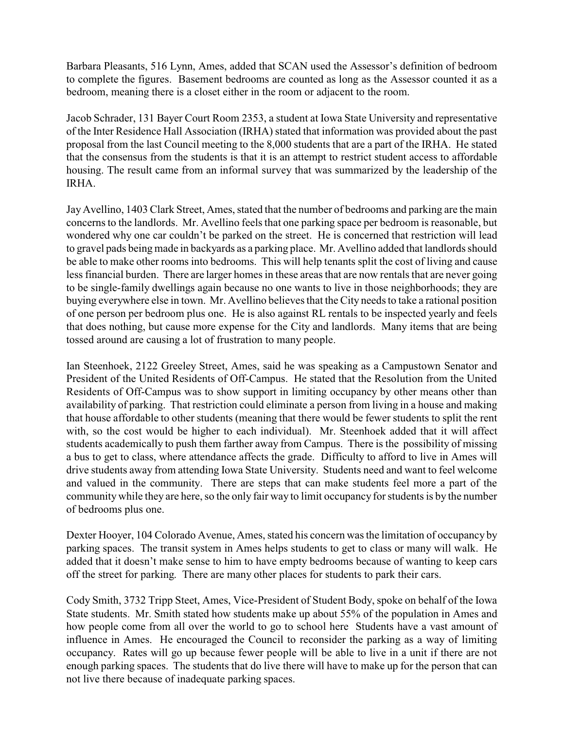Barbara Pleasants, 516 Lynn, Ames, added that SCAN used the Assessor's definition of bedroom to complete the figures. Basement bedrooms are counted as long as the Assessor counted it as a bedroom, meaning there is a closet either in the room or adjacent to the room.

Jacob Schrader, 131 Bayer Court Room 2353, a student at Iowa State University and representative of the Inter Residence Hall Association (IRHA) stated that information was provided about the past proposal from the last Council meeting to the 8,000 students that are a part of the IRHA. He stated that the consensus from the students is that it is an attempt to restrict student access to affordable housing. The result came from an informal survey that was summarized by the leadership of the IRHA.

JayAvellino, 1403 Clark Street, Ames, stated that the number of bedrooms and parking are the main concerns to the landlords. Mr. Avellino feels that one parking space per bedroom is reasonable, but wondered why one car couldn't be parked on the street. He is concerned that restriction will lead to gravel pads being made in backyards as a parking place. Mr. Avellino added that landlords should be able to make other rooms into bedrooms. This will help tenants split the cost of living and cause less financial burden. There are larger homes in these areas that are now rentals that are never going to be single-family dwellings again because no one wants to live in those neighborhoods; they are buying everywhere else in town. Mr. Avellino believes that the City needs to take a rational position of one person per bedroom plus one. He is also against RL rentals to be inspected yearly and feels that does nothing, but cause more expense for the City and landlords. Many items that are being tossed around are causing a lot of frustration to many people.

Ian Steenhoek, 2122 Greeley Street, Ames, said he was speaking as a Campustown Senator and President of the United Residents of Off-Campus. He stated that the Resolution from the United Residents of Off-Campus was to show support in limiting occupancy by other means other than availability of parking. That restriction could eliminate a person from living in a house and making that house affordable to other students (meaning that there would be fewer students to split the rent with, so the cost would be higher to each individual). Mr. Steenhoek added that it will affect students academically to push them farther away from Campus. There is the possibility of missing a bus to get to class, where attendance affects the grade. Difficulty to afford to live in Ames will drive students away from attending Iowa State University. Students need and want to feel welcome and valued in the community. There are steps that can make students feel more a part of the community while they are here, so the only fair way to limit occupancy for students is by the number of bedrooms plus one.

Dexter Hooyer, 104 Colorado Avenue, Ames, stated his concern was the limitation of occupancy by parking spaces. The transit system in Ames helps students to get to class or many will walk. He added that it doesn't make sense to him to have empty bedrooms because of wanting to keep cars off the street for parking. There are many other places for students to park their cars.

Cody Smith, 3732 Tripp Steet, Ames, Vice-President of Student Body, spoke on behalf of the Iowa State students. Mr. Smith stated how students make up about 55% of the population in Ames and how people come from all over the world to go to school here Students have a vast amount of influence in Ames. He encouraged the Council to reconsider the parking as a way of limiting occupancy. Rates will go up because fewer people will be able to live in a unit if there are not enough parking spaces. The students that do live there will have to make up for the person that can not live there because of inadequate parking spaces.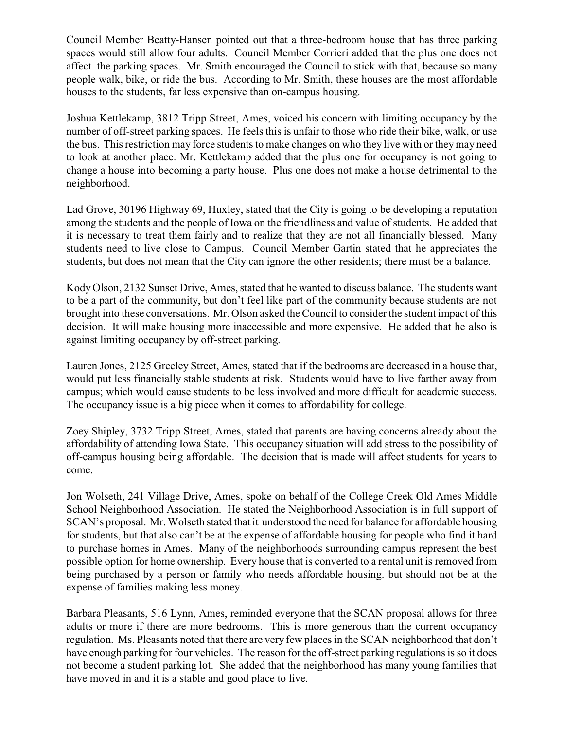Council Member Beatty-Hansen pointed out that a three-bedroom house that has three parking spaces would still allow four adults. Council Member Corrieri added that the plus one does not affect the parking spaces. Mr. Smith encouraged the Council to stick with that, because so many people walk, bike, or ride the bus. According to Mr. Smith, these houses are the most affordable houses to the students, far less expensive than on-campus housing.

Joshua Kettlekamp, 3812 Tripp Street, Ames, voiced his concern with limiting occupancy by the number of off-street parking spaces. He feels this is unfair to those who ride their bike, walk, or use the bus. This restriction may force students to make changes on who they live with or theymay need to look at another place. Mr. Kettlekamp added that the plus one for occupancy is not going to change a house into becoming a party house. Plus one does not make a house detrimental to the neighborhood.

Lad Grove, 30196 Highway 69, Huxley, stated that the City is going to be developing a reputation among the students and the people of Iowa on the friendliness and value of students. He added that it is necessary to treat them fairly and to realize that they are not all financially blessed. Many students need to live close to Campus. Council Member Gartin stated that he appreciates the students, but does not mean that the City can ignore the other residents; there must be a balance.

Kody Olson, 2132 Sunset Drive, Ames, stated that he wanted to discuss balance. The students want to be a part of the community, but don't feel like part of the community because students are not brought into these conversations. Mr. Olson asked the Council to consider the student impact of this decision. It will make housing more inaccessible and more expensive. He added that he also is against limiting occupancy by off-street parking.

Lauren Jones, 2125 Greeley Street, Ames, stated that if the bedrooms are decreased in a house that, would put less financially stable students at risk. Students would have to live farther away from campus; which would cause students to be less involved and more difficult for academic success. The occupancy issue is a big piece when it comes to affordability for college.

Zoey Shipley, 3732 Tripp Street, Ames, stated that parents are having concerns already about the affordability of attending Iowa State. This occupancy situation will add stress to the possibility of off-campus housing being affordable. The decision that is made will affect students for years to come.

Jon Wolseth, 241 Village Drive, Ames, spoke on behalf of the College Creek Old Ames Middle School Neighborhood Association. He stated the Neighborhood Association is in full support of SCAN's proposal. Mr. Wolseth stated that it understood the need for balance for affordable housing for students, but that also can't be at the expense of affordable housing for people who find it hard to purchase homes in Ames. Many of the neighborhoods surrounding campus represent the best possible option for home ownership. Every house that is converted to a rental unit is removed from being purchased by a person or family who needs affordable housing. but should not be at the expense of families making less money.

Barbara Pleasants, 516 Lynn, Ames, reminded everyone that the SCAN proposal allows for three adults or more if there are more bedrooms. This is more generous than the current occupancy regulation. Ms. Pleasants noted that there are very few places in the SCAN neighborhood that don't have enough parking for four vehicles. The reason for the off-street parking regulations is so it does not become a student parking lot. She added that the neighborhood has many young families that have moved in and it is a stable and good place to live.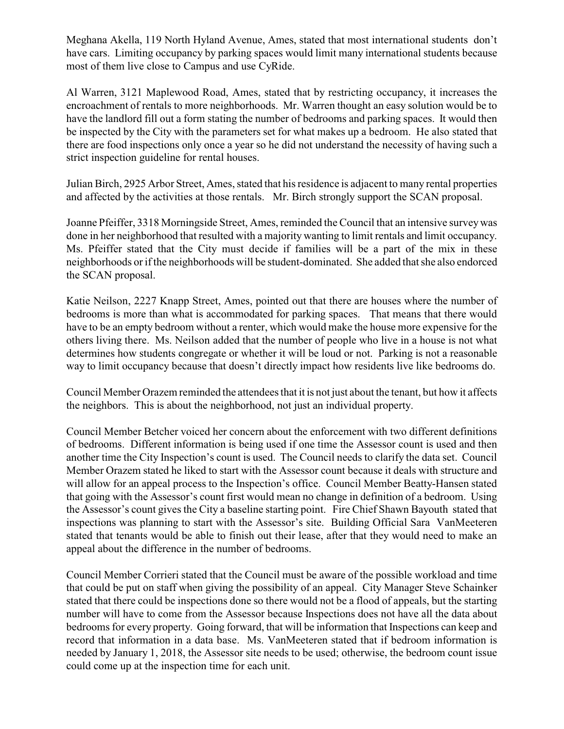Meghana Akella, 119 North Hyland Avenue, Ames, stated that most international students don't have cars. Limiting occupancy by parking spaces would limit many international students because most of them live close to Campus and use CyRide.

Al Warren, 3121 Maplewood Road, Ames, stated that by restricting occupancy, it increases the encroachment of rentals to more neighborhoods. Mr. Warren thought an easy solution would be to have the landlord fill out a form stating the number of bedrooms and parking spaces. It would then be inspected by the City with the parameters set for what makes up a bedroom. He also stated that there are food inspections only once a year so he did not understand the necessity of having such a strict inspection guideline for rental houses.

Julian Birch, 2925 Arbor Street, Ames, stated that his residence is adjacent to many rental properties and affected by the activities at those rentals. Mr. Birch strongly support the SCAN proposal.

Joanne Pfeiffer, 3318 Morningside Street, Ames, reminded the Council that an intensive surveywas done in her neighborhood that resulted with a majority wanting to limit rentals and limit occupancy. Ms. Pfeiffer stated that the City must decide if families will be a part of the mix in these neighborhoods or if the neighborhoods will be student-dominated. She added that she also endorced the SCAN proposal.

Katie Neilson, 2227 Knapp Street, Ames, pointed out that there are houses where the number of bedrooms is more than what is accommodated for parking spaces. That means that there would have to be an empty bedroom without a renter, which would make the house more expensive for the others living there. Ms. Neilson added that the number of people who live in a house is not what determines how students congregate or whether it will be loud or not. Parking is not a reasonable way to limit occupancy because that doesn't directly impact how residents live like bedrooms do.

Council Member Orazem reminded the attendees that it is not just about the tenant, but how it affects the neighbors. This is about the neighborhood, not just an individual property.

Council Member Betcher voiced her concern about the enforcement with two different definitions of bedrooms. Different information is being used if one time the Assessor count is used and then another time the City Inspection's count is used. The Council needs to clarify the data set. Council Member Orazem stated he liked to start with the Assessor count because it deals with structure and will allow for an appeal process to the Inspection's office. Council Member Beatty-Hansen stated that going with the Assessor's count first would mean no change in definition of a bedroom. Using the Assessor's count gives the City a baseline starting point. Fire Chief Shawn Bayouth stated that inspections was planning to start with the Assessor's site. Building Official Sara VanMeeteren stated that tenants would be able to finish out their lease, after that they would need to make an appeal about the difference in the number of bedrooms.

Council Member Corrieri stated that the Council must be aware of the possible workload and time that could be put on staff when giving the possibility of an appeal. City Manager Steve Schainker stated that there could be inspections done so there would not be a flood of appeals, but the starting number will have to come from the Assessor because Inspections does not have all the data about bedrooms for every property. Going forward, that will be information that Inspections can keep and record that information in a data base. Ms. VanMeeteren stated that if bedroom information is needed by January 1, 2018, the Assessor site needs to be used; otherwise, the bedroom count issue could come up at the inspection time for each unit.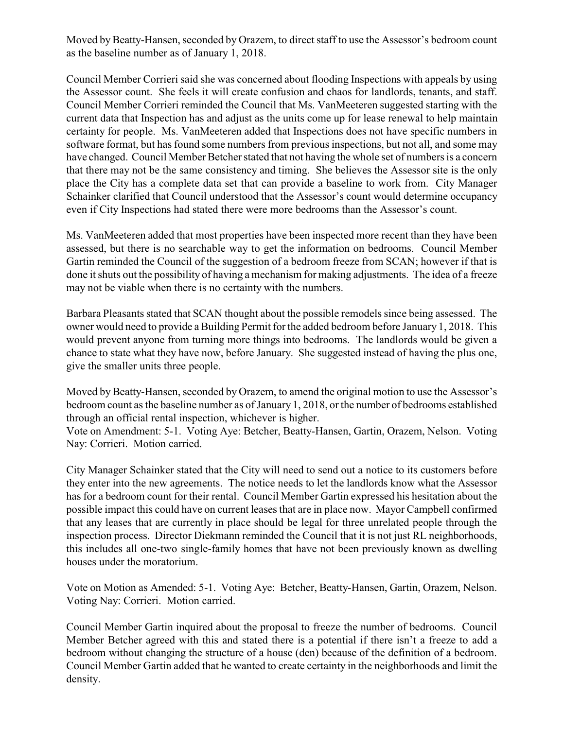Moved by Beatty-Hansen, seconded by Orazem, to direct staff to use the Assessor's bedroom count as the baseline number as of January 1, 2018.

Council Member Corrieri said she was concerned about flooding Inspections with appeals by using the Assessor count. She feels it will create confusion and chaos for landlords, tenants, and staff. Council Member Corrieri reminded the Council that Ms. VanMeeteren suggested starting with the current data that Inspection has and adjust as the units come up for lease renewal to help maintain certainty for people. Ms. VanMeeteren added that Inspections does not have specific numbers in software format, but has found some numbers from previous inspections, but not all, and some may have changed. Council Member Betcher stated that not having the whole set of numbers is a concern that there may not be the same consistency and timing. She believes the Assessor site is the only place the City has a complete data set that can provide a baseline to work from. City Manager Schainker clarified that Council understood that the Assessor's count would determine occupancy even if City Inspections had stated there were more bedrooms than the Assessor's count.

Ms. VanMeeteren added that most properties have been inspected more recent than they have been assessed, but there is no searchable way to get the information on bedrooms. Council Member Gartin reminded the Council of the suggestion of a bedroom freeze from SCAN; however if that is done it shuts out the possibility of having a mechanism for making adjustments. The idea of a freeze may not be viable when there is no certainty with the numbers.

Barbara Pleasants stated that SCAN thought about the possible remodels since being assessed. The owner would need to provide a Building Permit for the added bedroom before January 1, 2018. This would prevent anyone from turning more things into bedrooms. The landlords would be given a chance to state what they have now, before January. She suggested instead of having the plus one, give the smaller units three people.

Moved by Beatty-Hansen, seconded by Orazem, to amend the original motion to use the Assessor's bedroom count as the baseline number as of January 1, 2018, or the number of bedrooms established through an official rental inspection, whichever is higher.

Vote on Amendment: 5-1. Voting Aye: Betcher, Beatty-Hansen, Gartin, Orazem, Nelson. Voting Nay: Corrieri. Motion carried.

City Manager Schainker stated that the City will need to send out a notice to its customers before they enter into the new agreements. The notice needs to let the landlords know what the Assessor has for a bedroom count for their rental. Council Member Gartin expressed his hesitation about the possible impact this could have on current leases that are in place now. Mayor Campbell confirmed that any leases that are currently in place should be legal for three unrelated people through the inspection process. Director Diekmann reminded the Council that it is not just RL neighborhoods, this includes all one-two single-family homes that have not been previously known as dwelling houses under the moratorium.

Vote on Motion as Amended: 5-1. Voting Aye: Betcher, Beatty-Hansen, Gartin, Orazem, Nelson. Voting Nay: Corrieri. Motion carried.

Council Member Gartin inquired about the proposal to freeze the number of bedrooms. Council Member Betcher agreed with this and stated there is a potential if there isn't a freeze to add a bedroom without changing the structure of a house (den) because of the definition of a bedroom. Council Member Gartin added that he wanted to create certainty in the neighborhoods and limit the density.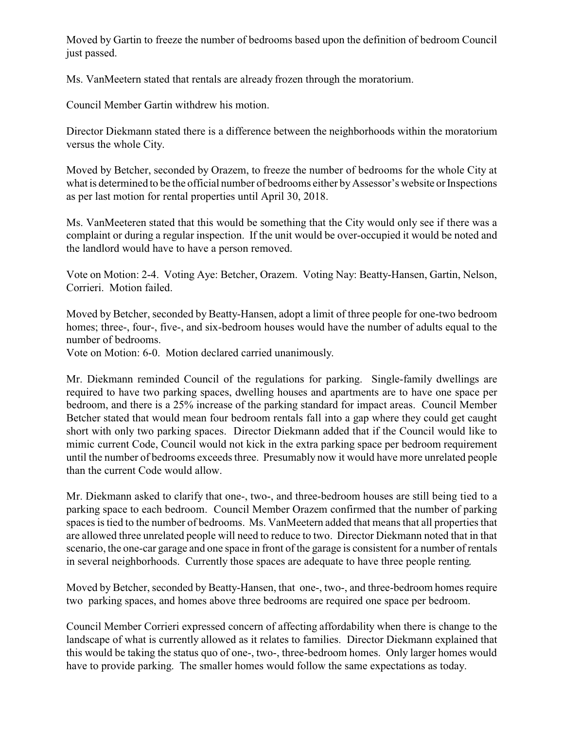Moved by Gartin to freeze the number of bedrooms based upon the definition of bedroom Council just passed.

Ms. VanMeetern stated that rentals are already frozen through the moratorium.

Council Member Gartin withdrew his motion.

Director Diekmann stated there is a difference between the neighborhoods within the moratorium versus the whole City.

Moved by Betcher, seconded by Orazem, to freeze the number of bedrooms for the whole City at what is determined to be the official number of bedrooms either by Assessor's website or Inspections as per last motion for rental properties until April 30, 2018.

Ms. VanMeeteren stated that this would be something that the City would only see if there was a complaint or during a regular inspection. If the unit would be over-occupied it would be noted and the landlord would have to have a person removed.

Vote on Motion: 2-4. Voting Aye: Betcher, Orazem. Voting Nay: Beatty-Hansen, Gartin, Nelson, Corrieri.Motion failed.

Moved by Betcher, seconded by Beatty-Hansen, adopt a limit of three people for one-two bedroom homes; three-, four-, five-, and six-bedroom houses would have the number of adults equal to the number of bedrooms.

Vote on Motion: 6-0. Motion declared carried unanimously.

Mr. Diekmann reminded Council of the regulations for parking. Single-family dwellings are required to have two parking spaces, dwelling houses and apartments are to have one space per bedroom, and there is a 25% increase of the parking standard for impact areas. Council Member Betcher stated that would mean four bedroom rentals fall into a gap where they could get caught short with only two parking spaces. Director Diekmann added that if the Council would like to mimic current Code, Council would not kick in the extra parking space per bedroom requirement until the number of bedrooms exceeds three. Presumably now it would have more unrelated people than the current Code would allow.

Mr. Diekmann asked to clarify that one-, two-, and three-bedroom houses are still being tied to a parking space to each bedroom. Council Member Orazem confirmed that the number of parking spaces is tied to the number of bedrooms. Ms. VanMeetern added that means that all properties that are allowed three unrelated people will need to reduce to two. Director Diekmann noted that in that scenario, the one-car garage and one space in front of the garage is consistent for a number of rentals in several neighborhoods. Currently those spaces are adequate to have three people renting.

Moved by Betcher, seconded by Beatty-Hansen, that one-, two-, and three-bedroom homes require two parking spaces, and homes above three bedrooms are required one space per bedroom.

Council Member Corrieri expressed concern of affecting affordability when there is change to the landscape of what is currently allowed as it relates to families. Director Diekmann explained that this would be taking the status quo of one-, two-, three-bedroom homes. Only larger homes would have to provide parking. The smaller homes would follow the same expectations as today.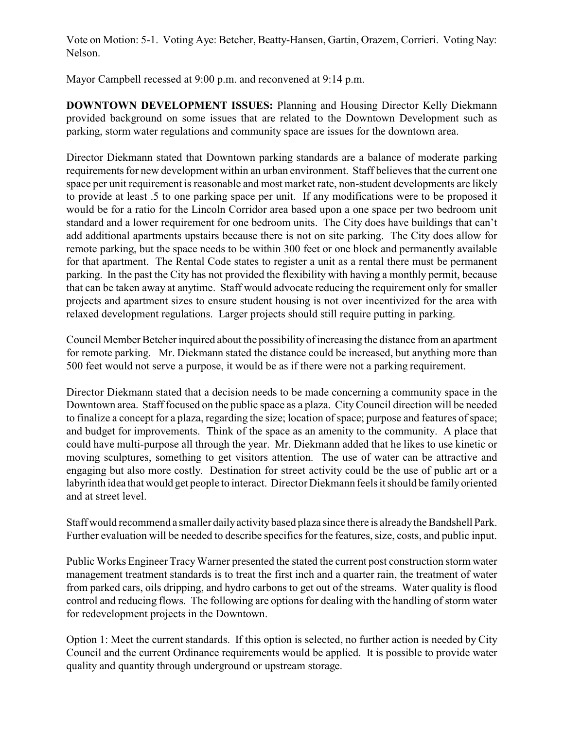Vote on Motion: 5-1. Voting Aye: Betcher, Beatty-Hansen, Gartin, Orazem, Corrieri. Voting Nay: Nelson.

Mayor Campbell recessed at 9:00 p.m. and reconvened at 9:14 p.m.

**DOWNTOWN DEVELOPMENT ISSUES:** Planning and Housing Director Kelly Diekmann provided background on some issues that are related to the Downtown Development such as parking, storm water regulations and community space are issues for the downtown area.

Director Diekmann stated that Downtown parking standards are a balance of moderate parking requirements for new development within an urban environment. Staff believes that the current one space per unit requirement is reasonable and most market rate, non-student developments are likely to provide at least .5 to one parking space per unit. If any modifications were to be proposed it would be for a ratio for the Lincoln Corridor area based upon a one space per two bedroom unit standard and a lower requirement for one bedroom units. The City does have buildings that can't add additional apartments upstairs because there is not on site parking. The City does allow for remote parking, but the space needs to be within 300 feet or one block and permanently available for that apartment. The Rental Code states to register a unit as a rental there must be permanent parking. In the past the City has not provided the flexibility with having a monthly permit, because that can be taken away at anytime. Staff would advocate reducing the requirement only for smaller projects and apartment sizes to ensure student housing is not over incentivized for the area with relaxed development regulations. Larger projects should still require putting in parking.

Council Member Betcher inquired about the possibility of increasing the distance from an apartment for remote parking. Mr. Diekmann stated the distance could be increased, but anything more than 500 feet would not serve a purpose, it would be as if there were not a parking requirement.

Director Diekmann stated that a decision needs to be made concerning a community space in the Downtown area. Staff focused on the public space as a plaza. CityCouncil direction will be needed to finalize a concept for a plaza, regarding the size; location of space; purpose and features of space; and budget for improvements. Think of the space as an amenity to the community. A place that could have multi-purpose all through the year. Mr. Diekmann added that he likes to use kinetic or moving sculptures, something to get visitors attention. The use of water can be attractive and engaging but also more costly. Destination for street activity could be the use of public art or a labyrinth idea that would get people to interact. Director Diekmann feels it should be family oriented and at street level.

Staff would recommend a smaller dailyactivitybased plaza since there is alreadythe Bandshell Park. Further evaluation will be needed to describe specifics for the features, size, costs, and public input.

Public Works Engineer TracyWarner presented the stated the current post construction storm water management treatment standards is to treat the first inch and a quarter rain, the treatment of water from parked cars, oils dripping, and hydro carbons to get out of the streams. Water quality is flood control and reducing flows. The following are options for dealing with the handling of storm water for redevelopment projects in the Downtown.

Option 1: Meet the current standards. If this option is selected, no further action is needed by City Council and the current Ordinance requirements would be applied. It is possible to provide water quality and quantity through underground or upstream storage.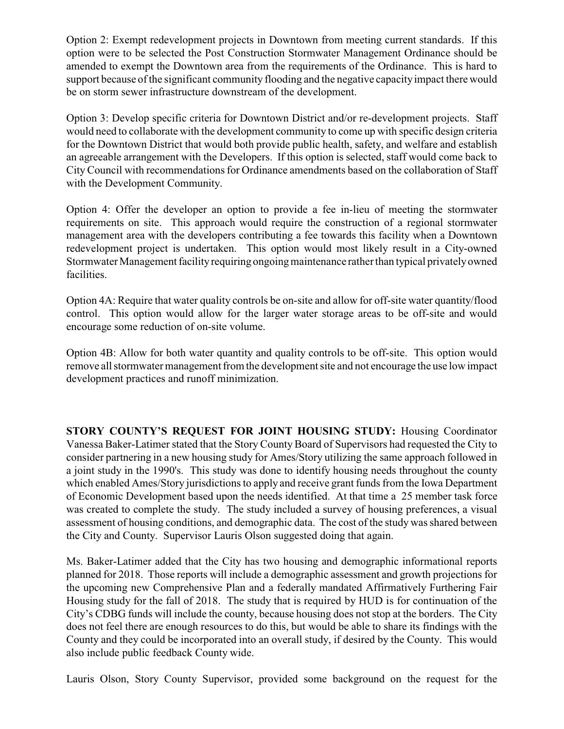Option 2: Exempt redevelopment projects in Downtown from meeting current standards. If this option were to be selected the Post Construction Stormwater Management Ordinance should be amended to exempt the Downtown area from the requirements of the Ordinance. This is hard to support because of the significant community flooding and the negative capacityimpact there would be on storm sewer infrastructure downstream of the development.

Option 3: Develop specific criteria for Downtown District and/or re-development projects. Staff would need to collaborate with the development community to come up with specific design criteria for the Downtown District that would both provide public health, safety, and welfare and establish an agreeable arrangement with the Developers. If this option is selected, staff would come back to City Council with recommendations for Ordinance amendments based on the collaboration of Staff with the Development Community.

Option 4: Offer the developer an option to provide a fee in-lieu of meeting the stormwater requirements on site. This approach would require the construction of a regional stormwater management area with the developers contributing a fee towards this facility when a Downtown redevelopment project is undertaken. This option would most likely result in a City-owned Stormwater Management facility requiring ongoing maintenance rather than typical privately owned facilities.

Option 4A: Require that water quality controls be on-site and allow for off-site water quantity/flood control. This option would allow for the larger water storage areas to be off-site and would encourage some reduction of on-site volume.

Option 4B: Allow for both water quantity and quality controls to be off-site. This option would remove all stormwater management from the development site and not encourage the use low impact development practices and runoff minimization.

**STORY COUNTY'S REQUEST FOR JOINT HOUSING STUDY:** Housing Coordinator Vanessa Baker-Latimer stated that the Story CountyBoard of Supervisors had requested the City to consider partnering in a new housing study for Ames/Story utilizing the same approach followed in a joint study in the 1990's. This study was done to identify housing needs throughout the county which enabled Ames/Story jurisdictions to apply and receive grant funds from the Iowa Department of Economic Development based upon the needs identified. At that time a 25 member task force was created to complete the study. The study included a survey of housing preferences, a visual assessment of housing conditions, and demographic data. The cost of the study was shared between the City and County. Supervisor Lauris Olson suggested doing that again.

Ms. Baker-Latimer added that the City has two housing and demographic informational reports planned for 2018. Those reports will include a demographic assessment and growth projections for the upcoming new Comprehensive Plan and a federally mandated Affirmatively Furthering Fair Housing study for the fall of 2018. The study that is required by HUD is for continuation of the City's CDBG funds will include the county, because housing does not stop at the borders. The City does not feel there are enough resources to do this, but would be able to share its findings with the County and they could be incorporated into an overall study, if desired by the County. This would also include public feedback County wide.

Lauris Olson, Story County Supervisor, provided some background on the request for the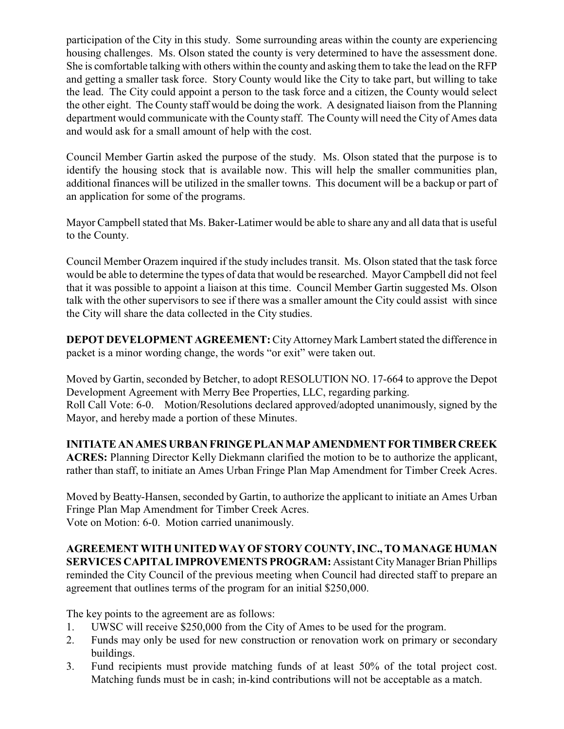participation of the City in this study. Some surrounding areas within the county are experiencing housing challenges. Ms. Olson stated the county is very determined to have the assessment done. She is comfortable talking with others within the county and asking them to take the lead on the RFP and getting a smaller task force. Story County would like the City to take part, but willing to take the lead. The City could appoint a person to the task force and a citizen, the County would select the other eight. The County staff would be doing the work. A designated liaison from the Planning department would communicate with the County staff. The County will need the City of Ames data and would ask for a small amount of help with the cost.

Council Member Gartin asked the purpose of the study. Ms. Olson stated that the purpose is to identify the housing stock that is available now. This will help the smaller communities plan, additional finances will be utilized in the smaller towns. This document will be a backup or part of an application for some of the programs.

Mayor Campbell stated that Ms. Baker-Latimer would be able to share any and all data that is useful to the County.

Council Member Orazem inquired if the study includes transit. Ms. Olson stated that the task force would be able to determine the types of data that would be researched. Mayor Campbell did not feel that it was possible to appoint a liaison at this time. Council Member Gartin suggested Ms. Olson talk with the other supervisors to see if there was a smaller amount the City could assist with since the City will share the data collected in the City studies.

**DEPOT DEVELOPMENT AGREEMENT:** City Attorney Mark Lambert stated the difference in packet is a minor wording change, the words "or exit" were taken out.

Moved by Gartin, seconded by Betcher, to adopt RESOLUTION NO. 17-664 to approve the Depot Development Agreement with Merry Bee Properties, LLC, regarding parking. Roll Call Vote: 6-0. Motion/Resolutions declared approved/adopted unanimously, signed by the Mayor, and hereby made a portion of these Minutes.

## **INITIATEANAMES URBAN FRINGE PLAN MAPAMENDMENTFORTIMBERCREEK**

**ACRES:** Planning Director Kelly Diekmann clarified the motion to be to authorize the applicant, rather than staff, to initiate an Ames Urban Fringe Plan Map Amendment for Timber Creek Acres.

Moved by Beatty-Hansen, seconded by Gartin, to authorize the applicant to initiate an Ames Urban Fringe Plan Map Amendment for Timber Creek Acres. Vote on Motion: 6-0. Motion carried unanimously.

**AGREEMENT WITH UNITED WAY OFSTORY COUNTY, INC., TO MANAGE HUMAN SERVICES CAPITAL IMPROVEMENTS PROGRAM:** Assistant City Manager Brian Phillips reminded the City Council of the previous meeting when Council had directed staff to prepare an agreement that outlines terms of the program for an initial \$250,000.

The key points to the agreement are as follows:

- 1. UWSC will receive \$250,000 from the City of Ames to be used for the program.
- 2. Funds may only be used for new construction or renovation work on primary or secondary buildings.
- 3. Fund recipients must provide matching funds of at least 50% of the total project cost. Matching funds must be in cash; in-kind contributions will not be acceptable as a match.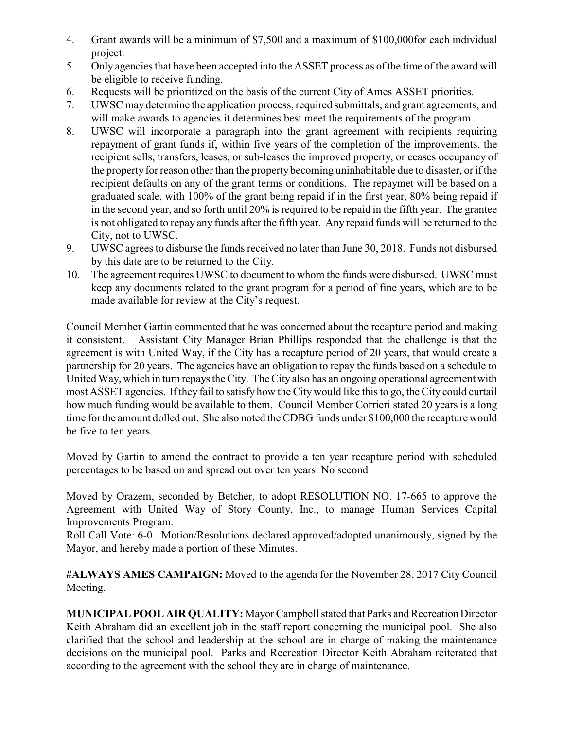- 4. Grant awards will be a minimum of \$7,500 and a maximum of \$100,000for each individual project.
- 5. Only agencies that have been accepted into the ASSET process as of the time of the award will be eligible to receive funding.
- 6. Requests will be prioritized on the basis of the current City of Ames ASSET priorities.
- 7. UWSC may determine the application process, required submittals, and grant agreements, and will make awards to agencies it determines best meet the requirements of the program.
- 8. UWSC will incorporate a paragraph into the grant agreement with recipients requiring repayment of grant funds if, within five years of the completion of the improvements, the recipient sells, transfers, leases, or sub-leases the improved property, or ceases occupancy of the property for reason other than the property becoming uninhabitable due to disaster, or if the recipient defaults on any of the grant terms or conditions. The repaymet will be based on a graduated scale, with 100% of the grant being repaid if in the first year, 80% being repaid if in the second year, and so forth until 20% is required to be repaid in the fifth year. The grantee is not obligated to repay any funds after the fifth year. Any repaid funds will be returned to the City, not to UWSC.
- 9. UWSC agrees to disburse the funds received no later than June 30, 2018. Funds not disbursed by this date are to be returned to the City.
- 10. The agreement requires UWSC to document to whom the funds were disbursed. UWSC must keep any documents related to the grant program for a period of fine years, which are to be made available for review at the City's request.

Council Member Gartin commented that he was concerned about the recapture period and making it consistent. Assistant City Manager Brian Phillips responded that the challenge is that the agreement is with United Way, if the City has a recapture period of 20 years, that would create a partnership for 20 years. The agencies have an obligation to repay the funds based on a schedule to United Way, which in turn repays the City. The City also has an ongoing operational agreement with most ASSET agencies. If they fail to satisfy how the City would like this to go, the City could curtail how much funding would be available to them. Council Member Corrieri stated 20 years is a long time for the amount dolled out. She also noted the CDBG funds under \$100,000 the recapture would be five to ten years.

Moved by Gartin to amend the contract to provide a ten year recapture period with scheduled percentages to be based on and spread out over ten years. No second

Moved by Orazem, seconded by Betcher, to adopt RESOLUTION NO. 17-665 to approve the Agreement with United Way of Story County, Inc., to manage Human Services Capital Improvements Program.

Roll Call Vote: 6-0. Motion/Resolutions declared approved/adopted unanimously, signed by the Mayor, and hereby made a portion of these Minutes.

**#ALWAYS AMES CAMPAIGN:** Moved to the agenda for the November 28, 2017 City Council Meeting.

**MUNICIPAL POOL AIR QUALITY:** Mayor Campbell stated that Parks and Recreation Director Keith Abraham did an excellent job in the staff report concerning the municipal pool. She also clarified that the school and leadership at the school are in charge of making the maintenance decisions on the municipal pool. Parks and Recreation Director Keith Abraham reiterated that according to the agreement with the school they are in charge of maintenance.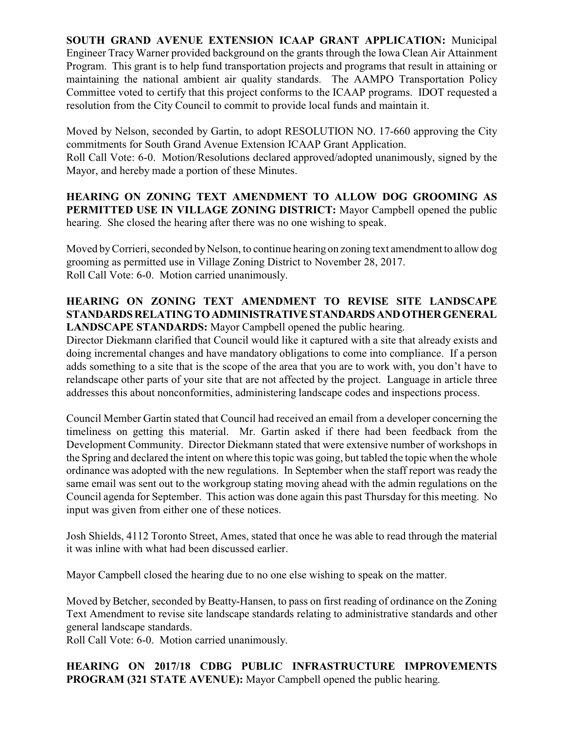**SOUTH GRAND AVENUE EXTENSION ICAAP GRANT APPLICATION:** Municipal Engineer Tracy Warner provided background on the grants through the Iowa Clean Air Attainment Program. This grant is to help fund transportation projects and programs that result in attaining or maintaining the national ambient air quality standards. The AAMPO Transportation Policy Committee voted to certify that this project conforms to the ICAAP programs. IDOT requested a resolution from the City Council to commit to provide local funds and maintain it.

Moved by Nelson, seconded by Gartin, to adopt RESOLUTION NO. 17-660 approving the City commitments for South Grand Avenue Extension ICAAP Grant Application.

Roll Call Vote: 6-0. Motion/Resolutions declared approved/adopted unanimously, signed by the Mayor, and hereby made a portion of these Minutes.

**HEARING ON ZONING TEXT AMENDMENT TO ALLOW DOG GROOMING AS PERMITTED USE IN VILLAGE ZONING DISTRICT:** Mayor Campbell opened the public hearing. She closed the hearing after there was no one wishing to speak.

Moved by Corrieri, seconded by Nelson, to continue hearing on zoning text amendment to allow dog grooming as permitted use in Village Zoning District to November 28, 2017. Roll Call Vote: 6-0. Motion carried unanimously.

#### **HEARING ON ZONING TEXT AMENDMENT TO REVISE SITE LANDSCAPE STANDARDSRELATINGTOADMINISTRATIVESTANDARDSANDOTHERGENERAL LANDSCAPE STANDARDS:** Mayor Campbell opened the public hearing.

Director Diekmann clarified that Council would like it captured with a site that already exists and doing incremental changes and have mandatory obligations to come into compliance. If a person adds something to a site that is the scope of the area that you are to work with, you don't have to relandscape other parts of your site that are not affected by the project. Language in article three addresses this about nonconformities, administering landscape codes and inspections process.

Council Member Gartin stated that Council had received an email from a developer concerning the timeliness on getting this material. Mr. Gartin asked if there had been feedback from the Development Community. Director Diekmann stated that were extensive number of workshops in the Spring and declared the intent on where this topic was going, but tabled the topic when the whole ordinance was adopted with the new regulations. In September when the staff report was ready the same email was sent out to the workgroup stating moving ahead with the admin regulations on the Council agenda for September. This action was done again this past Thursday for this meeting. No input was given from either one of these notices.

Josh Shields, 4112 Toronto Street, Ames, stated that once he was able to read through the material it was inline with what had been discussed earlier.

Mayor Campbell closed the hearing due to no one else wishing to speak on the matter.

Moved by Betcher, seconded by Beatty-Hansen, to pass on first reading of ordinance on the Zoning Text Amendment to revise site landscape standards relating to administrative standards and other general landscape standards.

Roll Call Vote: 6-0. Motion carried unanimously.

**HEARING ON 2017/18 CDBG PUBLIC INFRASTRUCTURE IMPROVEMENTS PROGRAM (321 STATE AVENUE):** Mayor Campbell opened the public hearing.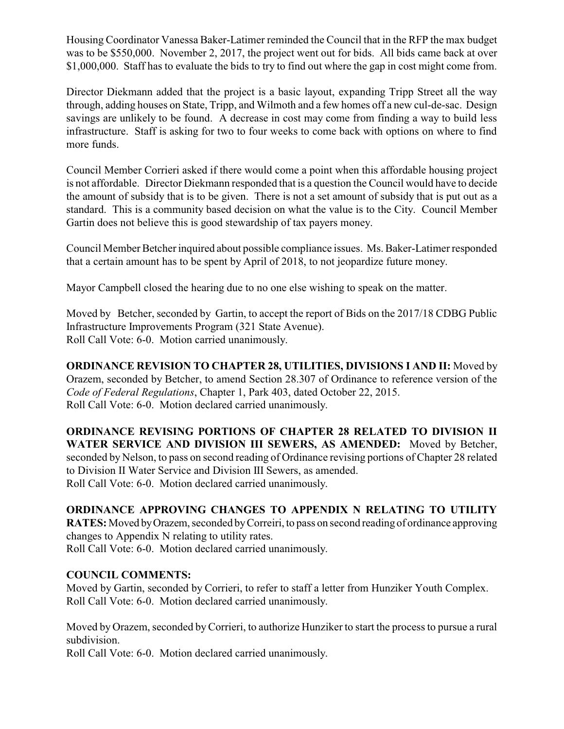Housing Coordinator Vanessa Baker-Latimer reminded the Council that in the RFP the max budget was to be \$550,000. November 2, 2017, the project went out for bids. All bids came back at over \$1,000,000. Staff has to evaluate the bids to try to find out where the gap in cost might come from.

Director Diekmann added that the project is a basic layout, expanding Tripp Street all the way through, adding houses on State, Tripp, and Wilmoth and a few homes off a new cul-de-sac. Design savings are unlikely to be found. A decrease in cost may come from finding a way to build less infrastructure. Staff is asking for two to four weeks to come back with options on where to find more funds.

Council Member Corrieri asked if there would come a point when this affordable housing project is not affordable. Director Diekmann responded that is a question the Council would have to decide the amount of subsidy that is to be given. There is not a set amount of subsidy that is put out as a standard. This is a community based decision on what the value is to the City. Council Member Gartin does not believe this is good stewardship of tax payers money.

Council Member Betcher inquired about possible compliance issues. Ms. Baker-Latimer responded that a certain amount has to be spent by April of 2018, to not jeopardize future money.

Mayor Campbell closed the hearing due to no one else wishing to speak on the matter.

Moved by Betcher, seconded by Gartin, to accept the report of Bids on the 2017/18 CDBG Public Infrastructure Improvements Program (321 State Avenue). Roll Call Vote: 6-0. Motion carried unanimously.

**ORDINANCE REVISION TO CHAPTER 28, UTILITIES, DIVISIONS I AND II:** Moved by Orazem, seconded by Betcher, to amend Section 28.307 of Ordinance to reference version of the *Code of Federal Regulations*, Chapter 1, Park 403, dated October 22, 2015. Roll Call Vote: 6-0. Motion declared carried unanimously.

**ORDINANCE REVISING PORTIONS OF CHAPTER 28 RELATED TO DIVISION II WATER SERVICE AND DIVISION III SEWERS, AS AMENDED:** Moved by Betcher, seconded by Nelson, to pass on second reading of Ordinance revising portions of Chapter 28 related to Division II Water Service and Division III Sewers, as amended. Roll Call Vote: 6-0. Motion declared carried unanimously.

# **ORDINANCE APPROVING CHANGES TO APPENDIX N RELATING TO UTILITY**

**RATES:** Moved byOrazem, seconded byCorreiri, to pass on second reading of ordinance approving changes to Appendix N relating to utility rates.

Roll Call Vote: 6-0. Motion declared carried unanimously.

## **COUNCIL COMMENTS:**

Moved by Gartin, seconded by Corrieri, to refer to staff a letter from Hunziker Youth Complex. Roll Call Vote: 6-0. Motion declared carried unanimously.

Moved by Orazem, seconded byCorrieri, to authorize Hunziker to start the process to pursue a rural subdivision.

Roll Call Vote: 6-0. Motion declared carried unanimously.